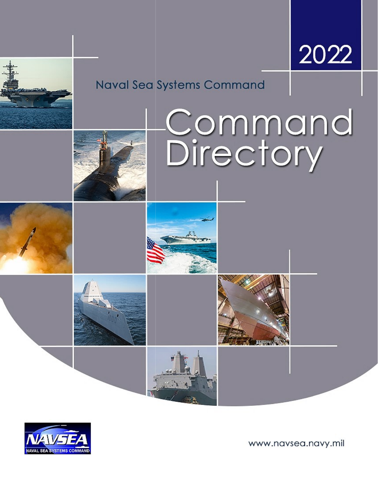



# **Naval Sea Systems Command**













www.navsea.navy.mil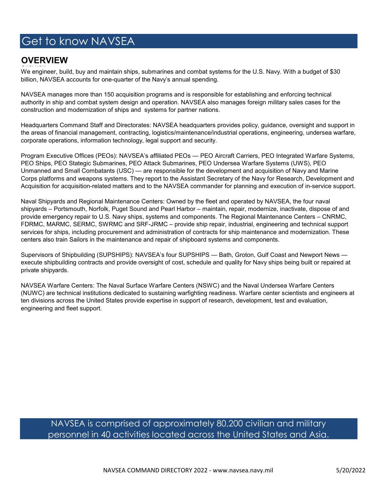## Get to know NAVSEA

## **OVERVIEW**

We engineer, build, buy and maintain ships, submarines and combat systems for the U.S. Navy. With a budget of \$30 billion, NAVSEA accounts for one-quarter of the Navy's annual spending.

NAVSEA manages more than 150 acquisition programs and is responsible for establishing and enforcing technical authority in ship and combat system design and operation. NAVSEA also manages foreign military sales cases for the construction and modernization of ships and systems for partner nations.

Headquarters Command Staff and Directorates: NAVSEA headquarters provides policy, guidance, oversight and support in the areas of financial management, contracting, logistics/maintenance/industrial operations, engineering, undersea warfare, corporate operations, information technology, legal support and security.

Program Executive Offices (PEOs): NAVSEA's affiliated PEOs — PEO Aircraft Carriers, PEO Integrated Warfare Systems, PEO Ships, PEO Stategic Submarines, PEO Attack Submarines, PEO Undersea Warfare Systems (UWS), PEO Unmanned and Small Combatants (USC) — are responsible for the development and acquisition of Navy and Marine Corps platforms and weapons systems. They report to the Assistant Secretary of the Navy for Research, Development and Acquisition for acquisition-related matters and to the NAVSEA commander for planning and execution of in-service support.

Naval Shipyards and Regional Maintenance Centers: Owned by the fleet and operated by NAVSEA, the four naval shipyards – Portsmouth, Norfolk, Puget Sound and Pearl Harbor – maintain, repair, modernize, inactivate, dispose of and provide emergency repair to U.S. Navy ships, systems and components. The Regional Maintenance Centers – CNRMC, FDRMC, MARMC, SERMC, SWRMC and SRF-JRMC – provide ship repair, industrial, engineering and technical support services for ships, including procurement and administration of contracts for ship maintenance and modernization. These centers also train Sailors in the maintenance and repair of shipboard systems and components.

Supervisors of Shipbuilding (SUPSHIPS): NAVSEA's four SUPSHIPS — Bath, Groton, Gulf Coast and Newport News execute shipbuilding contracts and provide oversight of cost, schedule and quality for Navy ships being built or repaired at private shipyards.

NAVSEA Warfare Centers: The Naval Surface Warfare Centers (NSWC) and the Naval Undersea Warfare Centers (NUWC) are technical institutions dedicated to sustaining warfighting readiness. Warfare center scientists and engineers at ten divisions across the United States provide expertise in support of research, development, test and evaluation, engineering and fleet support.

## NAVSEA is comprised of approximately 80,200 civilian and military personnel in 40 activities located across the United States and Asia.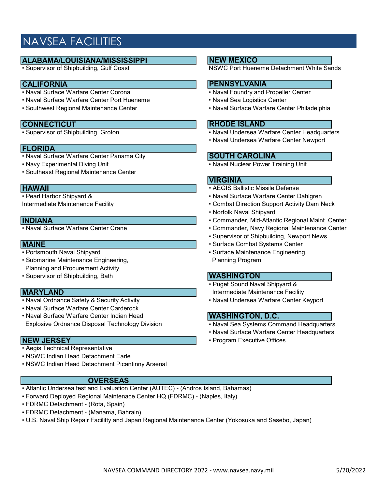## NAVSEA FACILITIES

# **ALABAMA/LOUISIANA/MISSISSIPPI**<br>• Supervisor of Shipbuilding, Gulf Coast

- CALIFORNIA<br>• Naval Surface Warfare Center Corona
- Naval Surface Warfare Center Port Hueneme Naval Sea Logistics Center
- 

**CONNECTICUT**<br>• Supervisor of Shipbuilding, Groton

### FLORIDA

- Naval Surface Warfare Center Panama City
- 
- Southeast Regional Maintenance Center

- 
- Submarine Maintenance Engineering, entitled and the Planning Program Planning and Procurement Activity
- Supervisor of Shipbuilding, Bath

- 
- Naval Surface Warfare Center Carderock
- Naval Surface Warfare Center Indian Head Explosive Ordnance Disposal Technology Division • Naval Sea Systems Command Headquarters

- Aegis Technical Representative
- NSWC Indian Head Detachment Earle
- NSWC Indian Head Detachment Picantinny Arsenal

### **OVERSEAS**

- Atlantic Undersea test and Evaluation Center (AUTEC) (Andros Island, Bahamas)
- Forward Deployed Regional Maintenace Center HQ (FDRMC) (Naples, Italy)
- FDRMC Detachment (Rota, Spain)
- FDRMC Detachment (Manama, Bahrain)
- U.S. Naval Ship Repair Facilitty and Japan Regional Maintenance Center (Yokosuka and Sasebo, Japan)

### NEW MEXICO

**NSWC Port Hueneme Detachment White Sands** 

## PENNSYLVANIA

- Naval Foundry and Propeller Center
- 
- Southwest Regional Maintenance Center Naval Surface Warfare Center Philadelphia

### RHODE ISLAND

- Naval Undersea Warfare Center Headquarters
- Naval Undersea Warfare Center Newport

## SOUTH CAROLINA

• Navy Experimental Diving Unit **• Container 1999** • Naval Nuclear Power Training Unit

### VIRGINIA

- **HAWAII** AEGIS Ballistic Missile Defense<br>• Pearl Harbor Shipyard & **ALCO II** Naval Surface Warfare Center D
	- Naval Surface Warfare Center Dahlgren
- Intermediate Maintenance Facility  **Combat Direction Support Activity Dam Neck** 
	- Norfolk Naval Shipyard
- INDIANA Commander, Mid-Atlantic Regional Maint. Center
	- Commander, Navy Regional Maintenance Center
	- Supervisor of Shipbuilding, Newport News
- **MAINE** Surface Combat Systems Center<br>
 Portsmouth Naval Shipyard
 Surface Maintenance Engineering
 Surface Maintenance Engineering
 Surface Maintenance Engineering
	- Surface Maintenance Engineering,

### **WASHINGTON**

- Puget Sound Naval Shipyard & **MARYLAND Intermediate Maintenance Facility Intermediate Maintenance Facility**
- Naval Ordnance Safety & Security Activity  **Naval Undersea Warfare Center Keyport**

### WASHINGTON, D.C.

- 
- Naval Surface Warfare Center Headquarters
- **NEW JERSEY Program Executive Offices**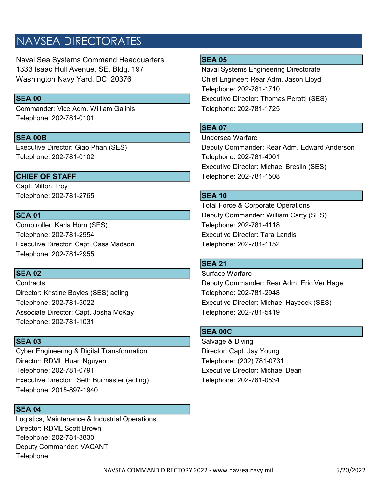## NAVSEA DIRECTORATES

Naval Sea Systems Command Headquarters **SEA 05** 1333 Isaac Hull Avenue, SE, Bldg. 197 Naval Systems Engineering Directorate Washington Navy Yard, DC 20376 Chief Engineer: Rear Adm. Jason Lloyd

Commander: Vice Adm. William Galinis Telephone: 202-781-1725 Telephone: 202-781-0101

Telephone: 202-781-0102 Telephone: 202-781-4001

Capt. Milton Troy Telephone: 202-781-2765 SEA 10

Comptroller: Karla Horn (SES) Telephone: 202-781-4118 Telephone: 202-781-2954 Executive Director: Tara Landis Executive Director: Capt. Cass Madson Telephone: 202-781-1152 Telephone: 202-781-2955

Director: Kristine Boyles (SES) acting Telephone: 202-781-2948 Associate Director: Capt. Josha McKay Telephone: 202-781-5419 Telephone: 202-781-1031

Cyber Engineering & Digital Transformation **Director: Capt. Jay Young** Director: RDML Huan Nguyen Telephone: (202) 781-0731 Telephone: 202-781-0791 Executive Director: Michael Dean Executive Director: Seth Burmaster (acting) Telephone: 202-781-0534 Telephone: 2015-897-1940

### SEA 04

Logistics, Maintenance & Industrial Operations Director: RDML Scott Brown Telephone: 202-781-3830 Deputy Commander: VACANT Telephone:

Telephone: 202-781-1710 SEA 00 **Executive Director: Thomas Perotti (SES)** 

## **SEA 07**

SEA 00B Undersea Warfare Executive Director: Giao Phan (SES) Deputy Commander: Rear Adm. Edward Anderson Executive Director: Michael Breslin (SES) CHIEF OF STAFF TELEPHONE: 202-781-1508

Total Force & Corporate Operations SEA 01 Deputy Commander: William Carty (SES)

### **SEA 21**

**SEA 02** Surface Warfare Surface Warfare Surface Warfare Surface Warfare Surface Warfare Surface Warfare Surface Surface Surface Surface Surface Surface Surface Surface Surface Surface Surface Surface Surface Surface Surfa Contracts Deputy Commander: Rear Adm. Eric Ver Hage Telephone: 202-781-5022 Executive Director: Michael Haycock (SES)

## SEA 00C

SEA 03 Salvage & Diving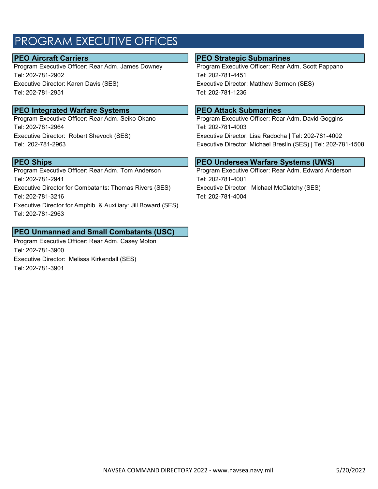## PROGRAM EXECUTIVE OFFICES

Program Executive Officer: Rear Adm. James Downey Program Executive Officer: Rear Adm. Scott Pappano Tel: 202-781-2902 Tel: 202-781-4451 Executive Director: Karen Davis (SES) Executive Director: Matthew Sermon (SES) Tel: 202-781-2951 Tel: 202-781-1236

## **PEO Integrated Warfare Systems PEO Attack Submarines**

Tel: 202-781-2964 Tel: 202-781-4003

Program Executive Officer: Rear Adm. Tom Anderson Program Executive Officer: Rear Adm. Edward Anderson Tel: 202-781-2941 Tel: 202-781-4001 Executive Director for Combatants: Thomas Rivers (SES) Executive Director: Michael McClatchy (SES) Tel: 202-781-3216 Tel: 202-781-4004 Executive Director for Amphib. & Auxiliary: Jill Boward (SES) Tel: 202-781-2963

## PEO Unmanned and Small Combatants (USC)

Program Executive Officer: Rear Adm. Casey Moton Tel: 202-781-3900 Executive Director: Melissa Kirkendall (SES) Tel: 202-781-3901

### **PEO Aircraft Carriers PEO Strategic Submarines**

Program Executive Officer: Rear Adm. Seiko Okano Program Executive Officer: Rear Adm. David Goggins Executive Director: Robert Shevock (SES) Executive Director: Lisa Radocha | Tel: 202-781-4002 Tel: 202-781-2963 Executive Director: Michael Breslin (SES) | Tel: 202-781-1508

## **PEO Ships PEO Ships PEO Undersea Warfare Systems (UWS)**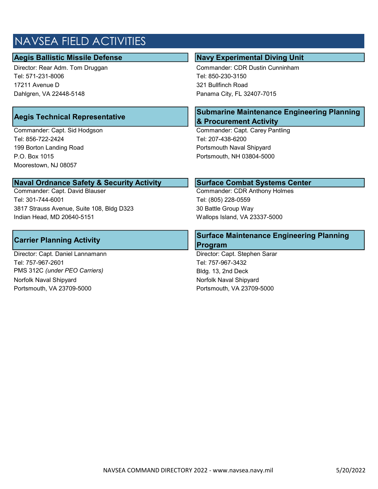## NAVSEA FIELD ACTIVITIES

## Aegis Ballistic Missile Defense Navy Alexander School and Aegis Ballistic Missile Defense

Tel: 571-231-8006 Tel: 850-230-3150 17211 Avenue D 321 Bullfinch Road Dahlgren, VA 22448-5148 Panama City, FL 32407-7015

Tel: 856-722-2424 Tel: 207-438-6200 199 Borton Landing Road **Portsmouth Naval Shipyard** P.O. Box 1015 Portsmouth, NH 03804-5000 Moorestown, NJ 08057

# **Naval Ordnance Safety & Security Activity Mary 19th Surface Combat Systems Center**<br>Commander: Capt. David Blauser

Tel: 301-744-6001 Tel: (805) 228-0559 3817 Strauss Avenue, Suite 108, Bldg D323 30 Battle Group Way Indian Head, MD 20640-5151 Wallops Island, VA 23337-5000

Director: Capt. Daniel Lannamann Director: Capt. Stephen Sarar Tel: 757-967-2601 Tel: 757-967-3432 PMS 312C (under PEO Carriers) **Bldg. 13, 2nd Deck** Norfolk Naval Shipyard Norfolk Naval Shipyard Portsmouth, VA 23709-5000 Portsmouth, VA 23709-5000

Director: Rear Adm. Tom Druggan Commander: CDR Dustin Cunninham

## Aegis Technical Representative Submarine Maintenance Engineering Planning & Procurement Activity

Commander: Capt. Sid Hodgson Commander: Capt. Carey Pantling

Commander: CDR Anthony Holmes

## Carrier Planning Activity Surface Maintenance Engineering Planning Program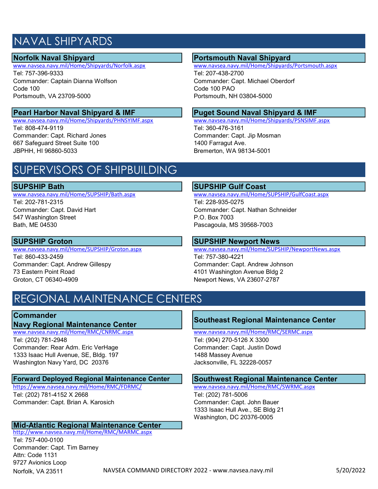## NAVAL SHIPYARDS

Tel: 757-396-9333 Tel: 207-438-2700 Commander: Captain Dianna Wolfson Commander: Capt. Michael Oberdorf Code 100 Code 100 PAO Portsmouth, VA 23709-5000 Portsmouth, NH 03804-5000

www.navsea.navy.mil/Home/Shipyards/PHNSYIMF.aspx Tel: 808-474-9119 Tel: 360-476-3161 Commander: Capt. Richard Jones Commander: Capt. Jip Mosman 667 Safeguard Street Suite 100 1400 Farragut Ave.

# Norfolk Naval Shipyard<br>
WWW.navsea.navy.mil/Home/Shipyards/Norfolk.aspx<br>
WWW.navsea.navy.mil/Home/Shipyards/Norfolk.aspx<br>
WWW.navsea.navy.mil/Home/Shipyards

www.navsea.navy.mil/Home/Shipyards/Portsmouth.aspx

# **Pearl Harbor Naval Shipyard & IMF**<br>
WWW.navsea.navy.mil/Home/Shipyards/PHNSYIMF.aspx<br>
WWW.navsea.navy.mil/Home/Shipyards/PSNSIMF.aspx

JBPHH, HI 96860-5033 Bremerton, WA 98134-5001

## SUPERVISORS OF SHIPBUILDING

# SUPSHIP Bath SUPSHIP Gulf Coast New Wave Area and SUPSHIP Gulf Coast New Wave Area and SUPSHIP Gulf Coast

Tel: 202-781-2315 Tel: 228-935-0275 547 Washington Street **P.O. Box 7003** Bath, ME 04530 Pascagoula, MS 39568-7003

Tel: 860-433-2459 Tel: 757-380-4221 Commander: Capt. Andrew Gillespy Commander: Capt. Andrew Johnson 73 Eastern Point Road 4101 Washington Avenue Bldg 2 Groton, CT 06340-4909 Newport News, VA 23607-2787

www.navsea.navy.mil/Home/SUPSHIP/GulfCoast.aspx Commander: Capt. David Hart Commander: Capt. Nathan Schneider

# SUPSHIP Groton SUPSHIP Newport News<br>
SUPSHIP Newport News<br>
www.navsea.navy.mil/Home/SUPSHIP/Groton.aspx

www.navsea.navy.mil/Home/SUPSHIP/NewportNews.aspx

## REGIONAL MAINTENANCE CENTERS

## **Commander**

www.navsea.navy.mil/Home/RMC/CNRMC.aspx Tel: (202) 781-2948 Tel: (904) 270-5126 X 3300 Commander: Rear Adm. Eric VerHage Commander: Capt. Justin Dowd 1333 Isaac Hull Avenue, SE, Bldg. 197 1488 Massey Avenue Washington Navy Yard, DC 20376 **Jacksonville, FL 32228-0057** 

# **Forward Deployed Regional Maintenance Center Southwest Regional Maintenance Center** https://www.navsea.navy.mil/Home/RMC/FDRMC/<br>https://www.navsea.navy.mil/Home/RMC/FDRMC/

https://www.navsea.navy.mil/Home/RMC/FDRMC/ Tel: (202) 781-4152 X 2668 Tel: (202) 781-5006 Commander: Capt. Brian A. Karosich Commander: Capt. John Bauer

## Mid-Atlantic Regional Maintenance Center

http://www.navsea.navy.mil/Home/RMC/MARMC.aspx Tel: 757-400-0100 Commander: Capt. Tim Barney Attn: Code 1131 9727 Avionics Loop Norfolk, VA 23511

# Navy Regional Maintenance Center Southeast Regional Maintenance Center<br>WWW.navsea.navy.mil/Home/RMC/CNRMC.aspx www.navsea.navy.mil/Home/RMC/SERMC.aspx

1333 Isaac Hull Ave., SE Bldg 21 Washington, DC 20376-0005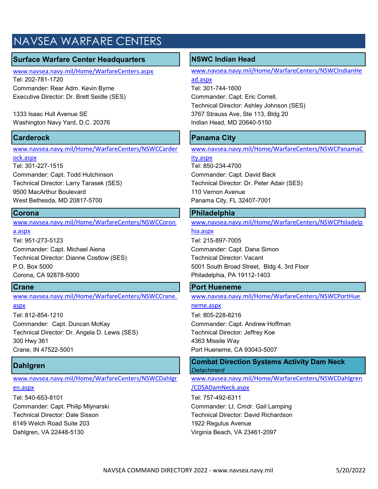## NAVSEA WARFARE CENTERS

## Surface Warfare Center Headquarters | NSWC Indian Head

www.navsea.navy.mil/Home/WarfareCenters.aspx Tel: 202-781-1720

Commander: Rear Adm. Kevin Byrne Tel: 301-744-1600 Executive Director: Dr. Brett Seidle (SES) Commander: Capt. Eric Correll,

Washington Navy Yard, D.C. 20376 **Indian Head, MD 20640-5150** 

www.navsea.navy.mil/Home/WarfareCenters/NSWCCarder

ock.aspx Tel: 301-227-1515 Tel: 850-234-4700 Commander: Capt. Todd Hutchinson Commander: Capt. David Back 9500 MacArthur Boulevard 110 Vernon Avenue West Bethesda, MD 20817-5700 **Panama City, FL 32407-7001** 

www.navsea.navy.mil/Home/WarfareCenters/NSWCCoron

a.aspx Tel: 951-273-5123 Tel: 215-897-7005 Commander: Capt. Michael Aiena Commander: Capt. Dana Simon Technical Director: Dianne Costlow (SES) Technical Director: Vacant Corona, CA 92878-5000 Philadelphia, PA 19112-1403

www.navsea.navy.mil/Home/WarfareCenters/NSWCCrane.

### aspx

Tel: 812-854-1210 Tel: 805-228-8216 Commander: Capt. Duncan McKay Commander: Capt. Andrew Hoffman Technical Director: Dr. Angela D. Lewis (SES) Technical Director: Jeffrey Koe 300 Hwy 361 4363 Missile Way Crane, IN 47522-5001 Port Hueneme, CA 93043-5007

www.navsea.navy.mil/Home/WarfareCenters/NSWCDahlgr en.aspx

Tel: 540-653-8101 Tel: 757-492-6311 6149 Welch Road Suite 203 1922 Regulus Avenue Dahlgren, VA 22448-5130 Virginia Beach, VA 23461-2097

www.navsea.navy.mil/Home/WarfareCenters/NSWCIndianHe ad.aspx

Technical Director: Ashley Johnson (SES) 1333 Isaac Hull Avenue SE 3767 Strauss Ave, Ste 113, Bldg 20

## **Carderock** Panama City

www.navsea.navy.mil/Home/WarfareCenters/NSWCPanamaC

ity.aspx

Technical Director: Larry Tarasek (SES) Technical Director: Dr. Peter Adair (SES)

## Corona **Philadelphia** Philadelphia

www.navsea.navy.mil/Home/WarfareCenters/NSWCPhiladelp hia.aspx

P.O. Box 5000 6000 5001 South Broad Street, Bldg 4, 3rd Floor

## **Crane** Port Hueneme Port Hueneme Port Hueneme Port Hueneme Port Hueneme Port Hueneme Port Hueneme Port Hueneme

www.navsea.navy.mil/Home/WarfareCenters/NSWCPortHue neme.aspx

Dahlgren Combat Direction Systems Activity Dam Neck Detachment

> www.navsea.navy.mil/Home/WarfareCenters/NSWCDahlgren /CDSADamNeck.aspx

Commander: Capt. Philip Mlynarski Commander: Lt. Cmdr. Gail Lamping Technical Director: Dale Sisson Technical Director: David Richardson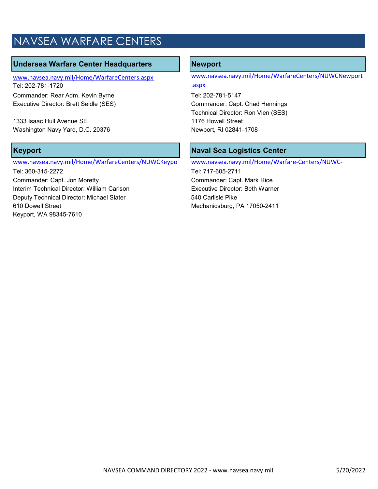## NAVSEA WARFARE CENTERS

## Undersea Warfare Center Headquarters | Newport

www.navsea.navy.mil/Home/WarfareCenters.aspx Tel: 202-781-1720

Commander: Rear Adm. Kevin Byrne Tel: 202-781-5147 Executive Director: Brett Seidle (SES) Commander: Capt. Chad Hennings

1333 Isaac Hull Avenue SE 1176 Howell Street Washington Navy Yard, D.C. 20376 Newport, RI 02841-1708

### www.navsea.navy.mil/Home/WarfareCenters/NUWCKeypo

Tel: 360-315-2272 Tel: 717-605-2711 Commander: Capt. Jon Moretty Commander: Capt. Mark Rice Interim Technical Director: William Carlson **Executive Director: Beth Warner** Deputy Technical Director: Michael Slater 540 Carlisle Pike 610 Dowell Street Mechanicsburg, PA 17050-2411 Keyport, WA 98345-7610

```
www.navsea.navy.mil/Home/WarfareCenters/NUWCNewport
```
.aspx

Technical Director: Ron Vien (SES)

## Keyport **Naval Sea Logistics Center**

www.navsea.navy.mil/Home/Warfare-Centers/NUWC-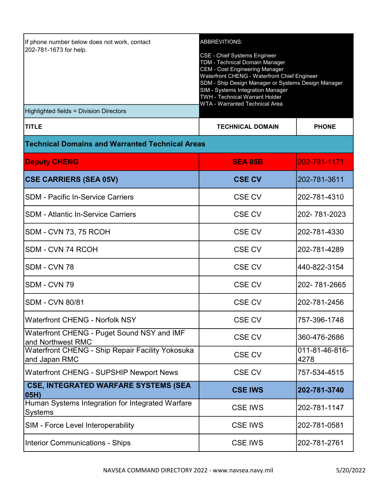| If phone number below does not work, contact<br>202-781-1673 for help.<br>Highlighted fields = Division Directors | <b>ABBREVITIONS:</b><br><b>CSE - Chief Systems Engineer</b><br>TDM - Technical Domain Manager<br><b>CEM - Cost Engineering Manager</b><br>Waterfront CHENG - Waterfront Chief Engineer<br>SDM - Ship Design Manager or Systems Design Manager<br>SIM - Systems Integration Manager<br><b>TWH - Technical Warrant Holder</b><br><b>WTA - Warranted Technical Area</b> |              |
|-------------------------------------------------------------------------------------------------------------------|----------------------------------------------------------------------------------------------------------------------------------------------------------------------------------------------------------------------------------------------------------------------------------------------------------------------------------------------------------------------|--------------|
| <b>TITLE</b>                                                                                                      | <b>TECHNICAL DOMAIN</b>                                                                                                                                                                                                                                                                                                                                              | <b>PHONE</b> |
| <b>Technical Domains and Warranted Technical Areas</b>                                                            |                                                                                                                                                                                                                                                                                                                                                                      |              |
| <b>Deputy CHENG</b>                                                                                               | <b>SEA 05B</b>                                                                                                                                                                                                                                                                                                                                                       | 202-781-1171 |
| <b>CSE CARRIERS (SEA 05V)</b>                                                                                     | <b>CSE CV</b>                                                                                                                                                                                                                                                                                                                                                        | 202-781-3611 |
| <b>SDM - Pacific In-Service Carriers</b>                                                                          | CSE CV                                                                                                                                                                                                                                                                                                                                                               | 202-781-4310 |
| <b>SDM - Atlantic In-Service Carriers</b>                                                                         | <b>CSE CV</b>                                                                                                                                                                                                                                                                                                                                                        | 202-781-2023 |
| <b>SDM - CVN 73, 75 RCOH</b>                                                                                      | <b>CSE CV</b>                                                                                                                                                                                                                                                                                                                                                        | 202-781-4330 |
| SDM - CVN 74 RCOH                                                                                                 | CSE CV                                                                                                                                                                                                                                                                                                                                                               | 202-781-4289 |
|                                                                                                                   |                                                                                                                                                                                                                                                                                                                                                                      |              |

SDM - CVN 78 CSE CV 440-822-3154

SDM - CVN 79 CSE CV 202- 781-2665

SDM - CVN 80/81 CSE CV 202-781-2456

Waterfront CHENG - Norfolk NSY  $\vert$  CSE CV 757-396-1748

Waterfront CHENG - Puget Sound NSY and IMF CSE CV <mark>360-476-2686</mark><br>and Northwest RMC

Waterfront CHENG - Ship Repair Facility Yokosuka CSE CV [011-81-46-816-816-816-816]

Waterfront CHENG - SUPSHIP Newport News | CSE CV | 757-534-4515

| <b>CSE, INTEGRATED WARFARE SYSTEMS (SEA</b><br>05H)         | <b>CSE IWS</b> | 202-781-3740 |
|-------------------------------------------------------------|----------------|--------------|
| Human Systems Integration for Integrated Warfare<br>Systems | <b>CSE IWS</b> | 202-781-1147 |
| <b>SIM - Force Level Interoperability</b>                   | <b>CSE IWS</b> | 202-781-0581 |
| <b>Interior Communications - Ships</b>                      | <b>CSE IWS</b> | 202-781-2761 |
|                                                             |                |              |

4278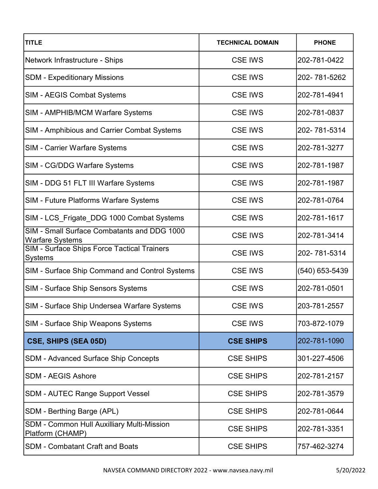| <b>TITLE</b>                                                          | <b>TECHNICAL DOMAIN</b> | <b>PHONE</b>   |
|-----------------------------------------------------------------------|-------------------------|----------------|
| Network Infrastructure - Ships                                        | <b>CSE IWS</b>          | 202-781-0422   |
| <b>SDM - Expeditionary Missions</b>                                   | <b>CSE IWS</b>          | 202-781-5262   |
| SIM - AEGIS Combat Systems                                            | <b>CSE IWS</b>          | 202-781-4941   |
| SIM - AMPHIB/MCM Warfare Systems                                      | <b>CSE IWS</b>          | 202-781-0837   |
| SIM - Amphibious and Carrier Combat Systems                           | <b>CSE IWS</b>          | 202-781-5314   |
| SIM - Carrier Warfare Systems                                         | <b>CSE IWS</b>          | 202-781-3277   |
| <b>SIM - CG/DDG Warfare Systems</b>                                   | <b>CSE IWS</b>          | 202-781-1987   |
| SIM - DDG 51 FLT III Warfare Systems                                  | <b>CSE IWS</b>          | 202-781-1987   |
| SIM - Future Platforms Warfare Systems                                | <b>CSE IWS</b>          | 202-781-0764   |
| SIM - LCS_Frigate_DDG 1000 Combat Systems                             | <b>CSE IWS</b>          | 202-781-1617   |
| SIM - Small Surface Combatants and DDG 1000<br>Warfare Systems        | <b>CSE IWS</b>          | 202-781-3414   |
| <b>SIM - Surface Ships Force Tactical Trainers</b><br>Systems         | <b>CSE IWS</b>          | 202-781-5314   |
| SIM - Surface Ship Command and Control Systems                        | <b>CSE IWS</b>          | (540) 653-5439 |
| SIM - Surface Ship Sensors Systems                                    | <b>CSE IWS</b>          | 202-781-0501   |
| SIM - Surface Ship Undersea Warfare Systems                           | <b>CSE IWS</b>          | 203-781-2557   |
| SIM - Surface Ship Weapons Systems                                    | <b>CSE IWS</b>          | 703-872-1079   |
| CSE, SHIPS (SEA 05D)                                                  | <b>CSE SHIPS</b>        | 202-781-1090   |
| <b>SDM - Advanced Surface Ship Concepts</b>                           | <b>CSE SHIPS</b>        | 301-227-4506   |
| <b>SDM - AEGIS Ashore</b>                                             | <b>CSE SHIPS</b>        | 202-781-2157   |
| <b>SDM - AUTEC Range Support Vessel</b>                               | <b>CSE SHIPS</b>        | 202-781-3579   |
| SDM - Berthing Barge (APL)                                            | <b>CSE SHIPS</b>        | 202-781-0644   |
| <b>SDM - Common Hull Auxilliary Multi-Mission</b><br>Platform (CHAMP) | <b>CSE SHIPS</b>        | 202-781-3351   |
| <b>SDM - Combatant Craft and Boats</b>                                | <b>CSE SHIPS</b>        | 757-462-3274   |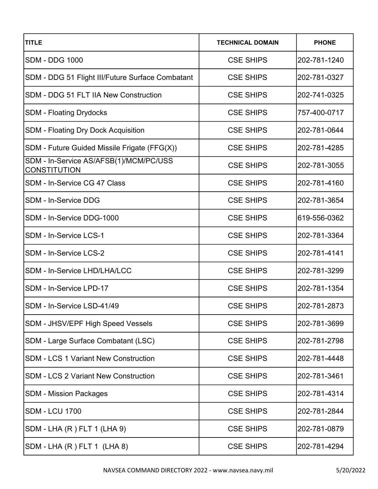| <b>TITLE</b>                                                  | <b>TECHNICAL DOMAIN</b> | <b>PHONE</b> |
|---------------------------------------------------------------|-------------------------|--------------|
| <b>SDM - DDG 1000</b>                                         | <b>CSE SHIPS</b>        | 202-781-1240 |
| SDM - DDG 51 Flight III/Future Surface Combatant              | <b>CSE SHIPS</b>        | 202-781-0327 |
| <b>SDM - DDG 51 FLT IIA New Construction</b>                  | <b>CSE SHIPS</b>        | 202-741-0325 |
| <b>SDM - Floating Drydocks</b>                                | <b>CSE SHIPS</b>        | 757-400-0717 |
| <b>SDM</b> - Floating Dry Dock Acquisition                    | <b>CSE SHIPS</b>        | 202-781-0644 |
| SDM - Future Guided Missile Frigate (FFG(X))                  | <b>CSE SHIPS</b>        | 202-781-4285 |
| SDM - In-Service AS/AFSB(1)/MCM/PC/USS<br><b>CONSTITUTION</b> | <b>CSE SHIPS</b>        | 202-781-3055 |
| SDM - In-Service CG 47 Class                                  | <b>CSE SHIPS</b>        | 202-781-4160 |
| <b>SDM - In-Service DDG</b>                                   | <b>CSE SHIPS</b>        | 202-781-3654 |
| SDM - In-Service DDG-1000                                     | <b>CSE SHIPS</b>        | 619-556-0362 |
| SDM - In-Service LCS-1                                        | <b>CSE SHIPS</b>        | 202-781-3364 |
| SDM - In-Service LCS-2                                        | <b>CSE SHIPS</b>        | 202-781-4141 |
| SDM - In-Service LHD/LHA/LCC                                  | <b>CSE SHIPS</b>        | 202-781-3299 |
| SDM - In-Service LPD-17                                       | <b>CSE SHIPS</b>        | 202-781-1354 |
| SDM - In-Service LSD-41/49                                    | <b>CSE SHIPS</b>        | 202-781-2873 |
| SDM - JHSV/EPF High Speed Vessels                             | <b>CSE SHIPS</b>        | 202-781-3699 |
| SDM - Large Surface Combatant (LSC)                           | <b>CSE SHIPS</b>        | 202-781-2798 |
| <b>SDM - LCS 1 Variant New Construction</b>                   | <b>CSE SHIPS</b>        | 202-781-4448 |
| <b>SDM - LCS 2 Variant New Construction</b>                   | <b>CSE SHIPS</b>        | 202-781-3461 |
| <b>SDM - Mission Packages</b>                                 | <b>CSE SHIPS</b>        | 202-781-4314 |
| <b>SDM - LCU 1700</b>                                         | <b>CSE SHIPS</b>        | 202-781-2844 |
| SDM - LHA (R) FLT 1 (LHA 9)                                   | <b>CSE SHIPS</b>        | 202-781-0879 |
| SDM - LHA (R) FLT 1 (LHA 8)                                   | <b>CSE SHIPS</b>        | 202-781-4294 |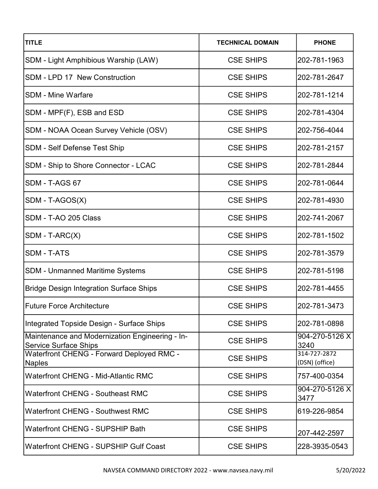| <b>TITLE</b>                                                                    | <b>TECHNICAL DOMAIN</b> | <b>PHONE</b>                   |
|---------------------------------------------------------------------------------|-------------------------|--------------------------------|
| <b>SDM - Light Amphibious Warship (LAW)</b>                                     | <b>CSE SHIPS</b>        | 202-781-1963                   |
| SDM - LPD 17 New Construction                                                   | <b>CSE SHIPS</b>        | 202-781-2647                   |
| <b>SDM - Mine Warfare</b>                                                       | <b>CSE SHIPS</b>        | 202-781-1214                   |
| SDM - MPF(F), ESB and ESD                                                       | <b>CSE SHIPS</b>        | 202-781-4304                   |
| SDM - NOAA Ocean Survey Vehicle (OSV)                                           | <b>CSE SHIPS</b>        | 202-756-4044                   |
| <b>SDM - Self Defense Test Ship</b>                                             | <b>CSE SHIPS</b>        | 202-781-2157                   |
| SDM - Ship to Shore Connector - LCAC                                            | <b>CSE SHIPS</b>        | 202-781-2844                   |
| SDM - T-AGS 67                                                                  | <b>CSE SHIPS</b>        | 202-781-0644                   |
| SDM - T-AGOS(X)                                                                 | <b>CSE SHIPS</b>        | 202-781-4930                   |
| SDM - T-AO 205 Class                                                            | <b>CSE SHIPS</b>        | 202-741-2067                   |
| $SDM - T-ARC(X)$                                                                | <b>CSE SHIPS</b>        | 202-781-1502                   |
| <b>SDM - T-ATS</b>                                                              | <b>CSE SHIPS</b>        | 202-781-3579                   |
| <b>SDM - Unmanned Maritime Systems</b>                                          | <b>CSE SHIPS</b>        | 202-781-5198                   |
| <b>Bridge Design Integration Surface Ships</b>                                  | <b>CSE SHIPS</b>        | 202-781-4455                   |
| <b>Future Force Architecture</b>                                                | <b>CSE SHIPS</b>        | 202-781-3473                   |
| Integrated Topside Design - Surface Ships                                       | <b>CSE SHIPS</b>        | 202-781-0898                   |
| Maintenance and Modernization Engineering - In-<br><b>Service Surface Ships</b> | <b>CSE SHIPS</b>        | 904-270-5126 X<br>3240         |
| Waterfront CHENG - Forward Deployed RMC -<br><b>Naples</b>                      | <b>CSE SHIPS</b>        | 314-727-2872<br>(DSN) (office) |
| <b>Waterfront CHENG - Mid-Atlantic RMC</b>                                      | <b>CSE SHIPS</b>        | 757-400-0354                   |
| <b>Waterfront CHENG - Southeast RMC</b>                                         | <b>CSE SHIPS</b>        | 904-270-5126 X<br>3477         |
| <b>Waterfront CHENG - Southwest RMC</b>                                         | <b>CSE SHIPS</b>        | 619-226-9854                   |
| <b>Waterfront CHENG - SUPSHIP Bath</b>                                          | <b>CSE SHIPS</b>        | 207-442-2597                   |
| <b>Waterfront CHENG - SUPSHIP Gulf Coast</b>                                    | <b>CSE SHIPS</b>        | 228-3935-0543                  |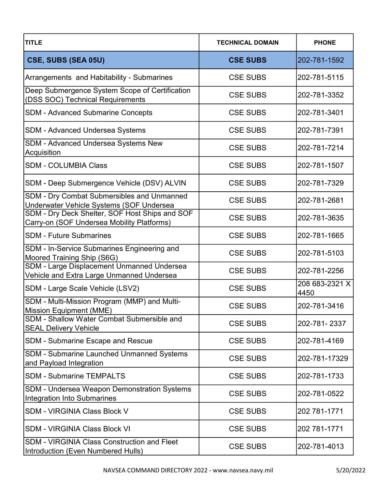| <b>TITLE</b>                                                                                 | <b>TECHNICAL DOMAIN</b> | <b>PHONE</b>           |
|----------------------------------------------------------------------------------------------|-------------------------|------------------------|
| CSE, SUBS (SEA 05U)                                                                          | <b>CSE SUBS</b>         | 202-781-1592           |
| Arrangements and Habitability - Submarines                                                   | <b>CSE SUBS</b>         | 202-781-5115           |
| Deep Submergence System Scope of Certification<br>(DSS SOC) Technical Requirements           | <b>CSE SUBS</b>         | 202-781-3352           |
| <b>SDM - Advanced Submarine Concepts</b>                                                     | <b>CSE SUBS</b>         | 202-781-3401           |
| SDM - Advanced Undersea Systems                                                              | <b>CSE SUBS</b>         | 202-781-7391           |
| SDM - Advanced Undersea Systems New<br>Acquisition                                           | <b>CSE SUBS</b>         | 202-781-7214           |
| <b>SDM - COLUMBIA Class</b>                                                                  | <b>CSE SUBS</b>         | 202-781-1507           |
| SDM - Deep Submergence Vehicle (DSV) ALVIN                                                   | <b>CSE SUBS</b>         | 202-781-7329           |
| SDM - Dry Combat Submersibles and Unmanned<br>Underwater Vehicle Systems (SOF Undersea       | <b>CSE SUBS</b>         | 202-781-2681           |
| SDM - Dry Deck Shelter, SOF Host Ships and SOF<br>Carry-on (SOF Undersea Mobility Platforms) | <b>CSE SUBS</b>         | 202-781-3635           |
| <b>SDM - Future Submarines</b>                                                               | <b>CSE SUBS</b>         | 202-781-1665           |
| SDM - In-Service Submarines Engineering and<br>Moored Training Ship (S6G)                    | <b>CSE SUBS</b>         | 202-781-5103           |
| SDM - Large Displacement Unmanned Undersea<br>Vehicle and Extra Large Unmanned Undersea      | <b>CSE SUBS</b>         | 202-781-2256           |
| SDM - Large Scale Vehicle (LSV2)                                                             | <b>CSE SUBS</b>         | 208 683-2321 X<br>4450 |
| SDM - Multi-Mission Program (MMP) and Multi-<br><b>Mission Equipment (MME)</b>               | <b>CSE SUBS</b>         | 202-781-3416           |
| SDM - Shallow Water Combat Submersible and<br><b>SEAL Delivery Vehicle</b>                   | <b>CSE SUBS</b>         | 202-781-2337           |
| SDM - Submarine Escape and Rescue                                                            | <b>CSE SUBS</b>         | 202-781-4169           |
| <b>SDM - Submarine Launched Unmanned Systems</b><br>and Payload Integration                  | <b>CSE SUBS</b>         | 202-781-17329          |
| <b>SDM - Submarine TEMPALTS</b>                                                              | <b>CSE SUBS</b>         | 202-781-1733           |
| SDM - Undersea Weapon Demonstration Systems<br><b>Integration Into Submarines</b>            | <b>CSE SUBS</b>         | 202-781-0522           |
| <b>SDM - VIRGINIA Class Block V</b>                                                          | <b>CSE SUBS</b>         | 202 781-1771           |
| <b>SDM - VIRGINIA Class Block VI</b>                                                         | <b>CSE SUBS</b>         | 202 781-1771           |
| <b>SDM - VIRGINIA Class Construction and Fleet</b><br>Introduction (Even Numbered Hulls)     | <b>CSE SUBS</b>         | 202-781-4013           |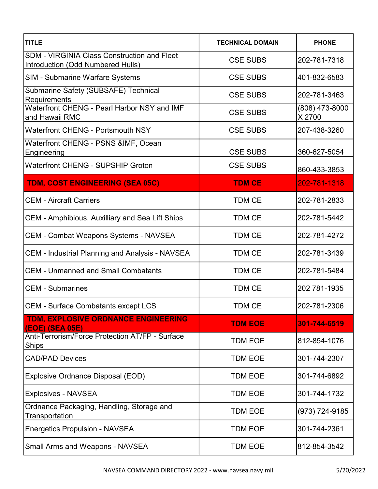| <b>TITLE</b>                                                                            | <b>TECHNICAL DOMAIN</b> | <b>PHONE</b>             |
|-----------------------------------------------------------------------------------------|-------------------------|--------------------------|
| <b>SDM - VIRGINIA Class Construction and Fleet</b><br>Introduction (Odd Numbered Hulls) | <b>CSE SUBS</b>         | 202-781-7318             |
| <b>SIM - Submarine Warfare Systems</b>                                                  | <b>CSE SUBS</b>         | 401-832-6583             |
| Submarine Safety (SUBSAFE) Technical<br>Requirements                                    | <b>CSE SUBS</b>         | 202-781-3463             |
| Waterfront CHENG - Pearl Harbor NSY and IMF<br>and Hawaii RMC                           | <b>CSE SUBS</b>         | (808) 473-8000<br>X 2700 |
| <b>Waterfront CHENG - Portsmouth NSY</b>                                                | <b>CSE SUBS</b>         | 207-438-3260             |
| Waterfront CHENG - PSNS &IMF, Ocean<br>Engineering                                      | <b>CSE SUBS</b>         | 360-627-5054             |
| <b>Waterfront CHENG - SUPSHIP Groton</b>                                                | <b>CSE SUBS</b>         | 860-433-3853             |
| TDM, COST ENGINEERING (SEA 05C)                                                         | <b>TDM CE</b>           | 202-781-1318             |
| <b>CEM - Aircraft Carriers</b>                                                          | <b>TDM CE</b>           | 202-781-2833             |
| CEM - Amphibious, Auxilliary and Sea Lift Ships                                         | <b>TDM CE</b>           | 202-781-5442             |
| <b>CEM - Combat Weapons Systems - NAVSEA</b>                                            | <b>TDM CE</b>           | 202-781-4272             |
| <b>CEM - Industrial Planning and Analysis - NAVSEA</b>                                  | <b>TDM CE</b>           | 202-781-3439             |
| <b>CEM - Unmanned and Small Combatants</b>                                              | <b>TDM CE</b>           | 202-781-5484             |
| <b>CEM - Submarines</b>                                                                 | <b>TDM CE</b>           | 202 781-1935             |
| <b>CEM - Surface Combatants except LCS</b>                                              | <b>TDM CE</b>           | 202-781-2306             |
| TDM, EXPLOSIVE ORDNANCE ENGINEERING<br>(EOE) (SEA 05E)                                  | <b>TDM EOE</b>          | 301-744-6519             |
| Anti-Terrorism/Force Protection AT/FP - Surface<br>Ships                                | <b>TDM EOE</b>          | 812-854-1076             |
| <b>CAD/PAD Devices</b>                                                                  | <b>TDM EOE</b>          | 301-744-2307             |
| Explosive Ordnance Disposal (EOD)                                                       | <b>TDM EOE</b>          | 301-744-6892             |
| <b>Explosives - NAVSEA</b>                                                              | <b>TDM EOE</b>          | 301-744-1732             |
| Ordnance Packaging, Handling, Storage and<br>Transportation                             | <b>TDM EOE</b>          | (973) 724-9185           |
| <b>Energetics Propulsion - NAVSEA</b>                                                   | <b>TDM EOE</b>          | 301-744-2361             |
| <b>Small Arms and Weapons - NAVSEA</b>                                                  | <b>TDM EOE</b>          | 812-854-3542             |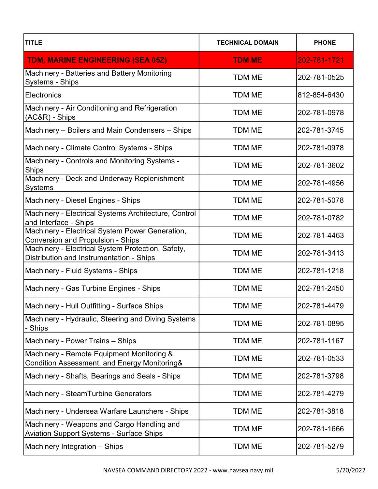| <b>TITLE</b>                                                                                         | <b>TECHNICAL DOMAIN</b> | <b>PHONE</b> |
|------------------------------------------------------------------------------------------------------|-------------------------|--------------|
| TDM, MARINE ENGINEERING (SEA 05Z)                                                                    | <b>TDM ME</b>           | 202-781-1721 |
| Machinery - Batteries and Battery Monitoring<br>Systems - Ships                                      | <b>TDM ME</b>           | 202-781-0525 |
| Electronics                                                                                          | <b>TDM ME</b>           | 812-854-6430 |
| Machinery - Air Conditioning and Refrigeration<br>(AC&R) - Ships                                     | <b>TDM ME</b>           | 202-781-0978 |
| Machinery – Boilers and Main Condensers – Ships                                                      | <b>TDM ME</b>           | 202-781-3745 |
| Machinery - Climate Control Systems - Ships                                                          | TDM ME                  | 202-781-0978 |
| Machinery - Controls and Monitoring Systems -<br><b>Ships</b>                                        | <b>TDM ME</b>           | 202-781-3602 |
| Machinery - Deck and Underway Replenishment<br><b>Systems</b>                                        | <b>TDM ME</b>           | 202-781-4956 |
| Machinery - Diesel Engines - Ships                                                                   | <b>TDM ME</b>           | 202-781-5078 |
| Machinery - Electrical Systems Architecture, Control<br>and Interface - Ships                        | <b>TDM ME</b>           | 202-781-0782 |
| Machinery - Electrical System Power Generation,<br><b>Conversion and Propulsion - Ships</b>          | <b>TDM ME</b>           | 202-781-4463 |
| Machinery - Electrical System Protection, Safety,<br>Distribution and Instrumentation - Ships        | <b>TDM ME</b>           | 202-781-3413 |
| Machinery - Fluid Systems - Ships                                                                    | <b>TDM ME</b>           | 202-781-1218 |
| Machinery - Gas Turbine Engines - Ships                                                              | <b>TDM ME</b>           | 202-781-2450 |
| Machinery - Hull Outfitting - Surface Ships                                                          | TDM ME                  | 202-781-4479 |
| Machinery - Hydraulic, Steering and Diving Systems<br>- Ships                                        | <b>TDM ME</b>           | 202-781-0895 |
| Machinery - Power Trains - Ships                                                                     | <b>TDM ME</b>           | 202-781-1167 |
| Machinery - Remote Equipment Monitoring &<br><b>Condition Assessment, and Energy Monitoring&amp;</b> | <b>TDM ME</b>           | 202-781-0533 |
| Machinery - Shafts, Bearings and Seals - Ships                                                       | TDM ME                  | 202-781-3798 |
| <b>Machinery - SteamTurbine Generators</b>                                                           | <b>TDM ME</b>           | 202-781-4279 |
| Machinery - Undersea Warfare Launchers - Ships                                                       | TDM ME                  | 202-781-3818 |
| Machinery - Weapons and Cargo Handling and<br><b>Aviation Support Systems - Surface Ships</b>        | <b>TDM ME</b>           | 202-781-1666 |
| Machinery Integration - Ships                                                                        | <b>TDM ME</b>           | 202-781-5279 |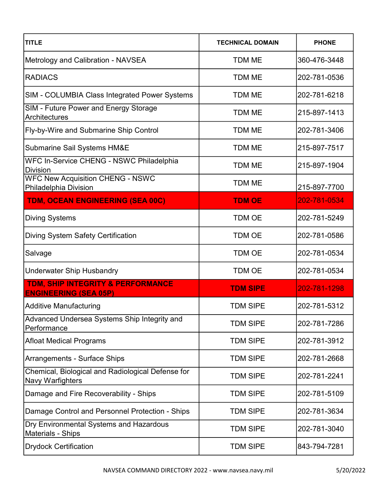| <b>TITLE</b>                                                          | <b>TECHNICAL DOMAIN</b> | <b>PHONE</b> |
|-----------------------------------------------------------------------|-------------------------|--------------|
| Metrology and Calibration - NAVSEA                                    | <b>TDM ME</b>           | 360-476-3448 |
| <b>RADIACS</b>                                                        | <b>TDM ME</b>           | 202-781-0536 |
| SIM - COLUMBIA Class Integrated Power Systems                         | <b>TDM ME</b>           | 202-781-6218 |
| SIM - Future Power and Energy Storage<br>Architectures                | <b>TDM ME</b>           | 215-897-1413 |
| Fly-by-Wire and Submarine Ship Control                                | <b>TDM ME</b>           | 202-781-3406 |
| Submarine Sail Systems HM&E                                           | <b>TDM ME</b>           | 215-897-7517 |
| WFC In-Service CHENG - NSWC Philadelphia<br><b>Division</b>           | <b>TDM ME</b>           | 215-897-1904 |
| <b>WFC New Acquisition CHENG - NSWC</b><br>Philadelphia Division      | <b>TDM ME</b>           | 215-897-7700 |
| TDM, OCEAN ENGINEERING (SEA 00C)                                      | <b>TDM OE</b>           | 202-781-0534 |
| <b>Diving Systems</b>                                                 | <b>TDM OE</b>           | 202-781-5249 |
| <b>Diving System Safety Certification</b>                             | <b>TDM OE</b>           | 202-781-0586 |
| Salvage                                                               | <b>TDM OE</b>           | 202-781-0534 |
| <b>Underwater Ship Husbandry</b>                                      | <b>TDM OE</b>           | 202-781-0534 |
| TDM, SHIP INTEGRITY & PERFORMANCE<br><b>ENGINEERING (SEA 05P)</b>     | <b>TDM SIPE</b>         | 202-781-1298 |
| <b>Additive Manufacturing</b>                                         | <b>TDM SIPE</b>         | 202-781-5312 |
| Advanced Undersea Systems Ship Integrity and<br>Performance           | <b>TDM SIPE</b>         | 202-781-7286 |
| <b>Afloat Medical Programs</b>                                        | <b>TDM SIPE</b>         | 202-781-3912 |
| Arrangements - Surface Ships                                          | <b>TDM SIPE</b>         | 202-781-2668 |
| Chemical, Biological and Radiological Defense for<br>Navy Warfighters | <b>TDM SIPE</b>         | 202-781-2241 |
| Damage and Fire Recoverability - Ships                                | <b>TDM SIPE</b>         | 202-781-5109 |
| Damage Control and Personnel Protection - Ships                       | <b>TDM SIPE</b>         | 202-781-3634 |
| Dry Environmental Systems and Hazardous<br><b>Materials - Ships</b>   | <b>TDM SIPE</b>         | 202-781-3040 |
| <b>Drydock Certification</b>                                          | <b>TDM SIPE</b>         | 843-794-7281 |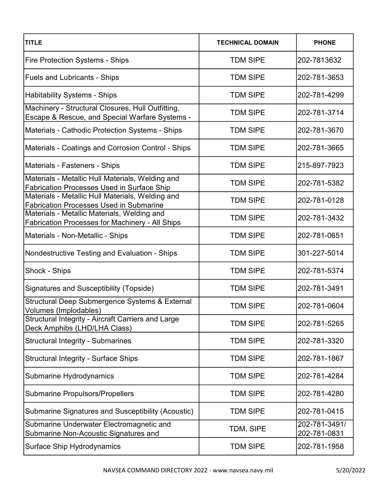| <b>TITLE</b>                                                                                          | <b>TECHNICAL DOMAIN</b> | <b>PHONE</b>                  |
|-------------------------------------------------------------------------------------------------------|-------------------------|-------------------------------|
| <b>Fire Protection Systems - Ships</b>                                                                | <b>TDM SIPE</b>         | 202-7813632                   |
| <b>Fuels and Lubricants - Ships</b>                                                                   | <b>TDM SIPE</b>         | 202-781-3653                  |
| <b>Habitability Systems - Ships</b>                                                                   | <b>TDM SIPE</b>         | 202-781-4299                  |
| Machinery - Structural Closures, Hull Outfitting,<br>Escape & Rescue, and Special Warfare Systems -   | <b>TDM SIPE</b>         | 202-781-3714                  |
| Materials - Cathodic Protection Systems - Ships                                                       | <b>TDM SIPE</b>         | 202-781-3670                  |
| Materials - Coatings and Corrosion Control - Ships                                                    | <b>TDM SIPE</b>         | 202-781-3665                  |
| Materials - Fasteners - Ships                                                                         | <b>TDM SIPE</b>         | 215-897-7923                  |
| Materials - Metallic Hull Materials, Welding and<br><b>Fabrication Processes Used in Surface Ship</b> | <b>TDM SIPE</b>         | 202-781-5382                  |
| Materials - Metallic Hull Materials, Welding and<br><b>Fabrication Processes Used in Submarine</b>    | <b>TDM SIPE</b>         | 202-781-0128                  |
| Materials - Metallic Materials, Welding and<br>Fabrication Processes for Machinery - All Ships        | <b>TDM SIPE</b>         | 202-781-3432                  |
| Materials - Non-Metallic - Ships                                                                      | <b>TDM SIPE</b>         | 202-781-0651                  |
| Nondestructive Testing and Evaluation - Ships                                                         | <b>TDM SIPE</b>         | 301-227-5014                  |
| Shock - Ships                                                                                         | <b>TDM SIPE</b>         | 202-781-5374                  |
| Signatures and Susceptibility (Topside)                                                               | <b>TDM SIPE</b>         | 202-781-3491                  |
| Structural Deep Submergence Systems & External<br>Volumes (Implodables)                               | <b>TDM SIPE</b>         | 202-781-0604                  |
| Structural Integrity - Aircraft Carriers and Large<br>Deck Amphibs (LHD/LHA Class)                    | <b>TDM SIPE</b>         | 202-781-5265                  |
| <b>Structural Integrity - Submarines</b>                                                              | <b>TDM SIPE</b>         | 202-781-3320                  |
| <b>Structural Integrity - Surface Ships</b>                                                           | <b>TDM SIPE</b>         | 202-781-1867                  |
| Submarine Hydrodynamics                                                                               | <b>TDM SIPE</b>         | 202-781-4284                  |
| <b>Submarine Propulsors/Propellers</b>                                                                | <b>TDM SIPE</b>         | 202-781-4280                  |
| Submarine Signatures and Susceptibility (Acoustic)                                                    | <b>TDM SIPE</b>         | 202-781-0415                  |
| Submarine Underwater Electromagnetic and<br>Submarine Non-Acoustic Signatures and                     | TDM, SIPE               | 202-781-3491/<br>202-781-0831 |
| <b>Surface Ship Hydrodynamics</b>                                                                     | <b>TDM SIPE</b>         | 202-781-1958                  |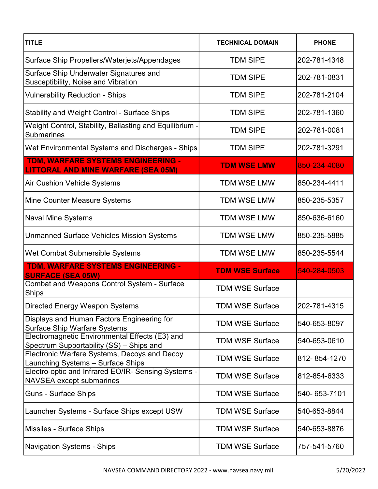| <b>TITLE</b>                                                                               | <b>TECHNICAL DOMAIN</b> | <b>PHONE</b> |
|--------------------------------------------------------------------------------------------|-------------------------|--------------|
| Surface Ship Propellers/Waterjets/Appendages                                               | <b>TDM SIPE</b>         | 202-781-4348 |
| Surface Ship Underwater Signatures and<br>Susceptibility, Noise and Vibration              | <b>TDM SIPE</b>         | 202-781-0831 |
| <b>Vulnerability Reduction - Ships</b>                                                     | <b>TDM SIPE</b>         | 202-781-2104 |
| Stability and Weight Control - Surface Ships                                               | <b>TDM SIPE</b>         | 202-781-1360 |
| Weight Control, Stability, Ballasting and Equilibrium -<br>Submarines                      | <b>TDM SIPE</b>         | 202-781-0081 |
| Wet Environmental Systems and Discharges - Ships                                           | <b>TDM SIPE</b>         | 202-781-3291 |
| TDM, WARFARE SYSTEMS ENGINEERING -<br><b>LITTORAL AND MINE WARFARE (SEA 05M)</b>           | <b>TDM WSE LMW</b>      | 850-234-4080 |
| <b>Air Cushion Vehicle Systems</b>                                                         | <b>TDM WSE LMW</b>      | 850-234-4411 |
| Mine Counter Measure Systems                                                               | <b>TDM WSE LMW</b>      | 850-235-5357 |
| <b>Naval Mine Systems</b>                                                                  | <b>TDM WSE LMW</b>      | 850-636-6160 |
| <b>Unmanned Surface Vehicles Mission Systems</b>                                           | <b>TDM WSE LMW</b>      | 850-235-5885 |
| Wet Combat Submersible Systems                                                             | <b>TDM WSE LMW</b>      | 850-235-5544 |
| TDM, WARFARE SYSTEMS ENGINEERING -<br><b>SURFACE (SEA 05W)</b>                             | <b>TDM WSE Surface</b>  | 540-284-0503 |
| Combat and Weapons Control System - Surface<br><b>Ships</b>                                | <b>TDM WSE Surface</b>  |              |
| Directed Energy Weapon Systems                                                             | <b>TDM WSE Surface</b>  | 202-781-4315 |
| Displays and Human Factors Engineering for<br><b>Surface Ship Warfare Systems</b>          | <b>TDM WSE Surface</b>  | 540-653-8097 |
| Electromagnetic Environmental Effects (E3) and<br>Spectrum Supportability (SS) - Ships and | <b>TDM WSE Surface</b>  | 540-653-0610 |
| Electronic Warfare Systems, Decoys and Decoy<br>Launching Systems - Surface Ships          | <b>TDM WSE Surface</b>  | 812-854-1270 |
| Electro-optic and Infrared EO/IR- Sensing Systems -<br>NAVSEA except submarines            | <b>TDM WSE Surface</b>  | 812-854-6333 |
| <b>Guns - Surface Ships</b>                                                                | <b>TDM WSE Surface</b>  | 540-653-7101 |
| Launcher Systems - Surface Ships except USW                                                | <b>TDM WSE Surface</b>  | 540-653-8844 |
| <b>Missiles - Surface Ships</b>                                                            | <b>TDM WSE Surface</b>  | 540-653-8876 |
| <b>Navigation Systems - Ships</b>                                                          | <b>TDM WSE Surface</b>  | 757-541-5760 |